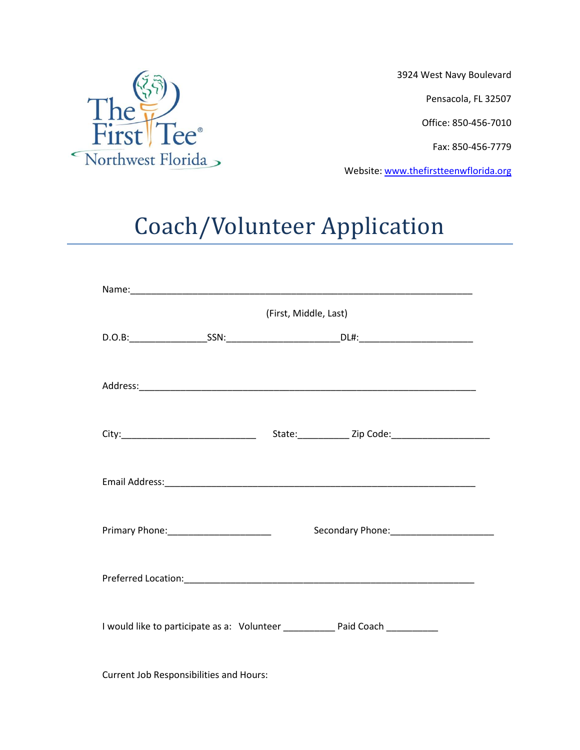

3924 West Navy Boulevard

Pensacola, FL 32507

Office: 850-456-7010

Fax: 850-456-7779

Website: [www.thefirstteenwflorida.org](http://www.thefirstteenwflorida.org/)

## Coach/Volunteer Application

| (First, Middle, Last)                  |                                                                                  |  |  |  |
|----------------------------------------|----------------------------------------------------------------------------------|--|--|--|
|                                        |                                                                                  |  |  |  |
|                                        |                                                                                  |  |  |  |
|                                        |                                                                                  |  |  |  |
|                                        |                                                                                  |  |  |  |
|                                        |                                                                                  |  |  |  |
|                                        |                                                                                  |  |  |  |
|                                        |                                                                                  |  |  |  |
|                                        |                                                                                  |  |  |  |
| Primary Phone: _______________________ |                                                                                  |  |  |  |
|                                        |                                                                                  |  |  |  |
|                                        |                                                                                  |  |  |  |
|                                        |                                                                                  |  |  |  |
|                                        | I would like to participate as a: Volunteer _____________ Paid Coach ___________ |  |  |  |
|                                        |                                                                                  |  |  |  |

Current Job Responsibilities and Hours: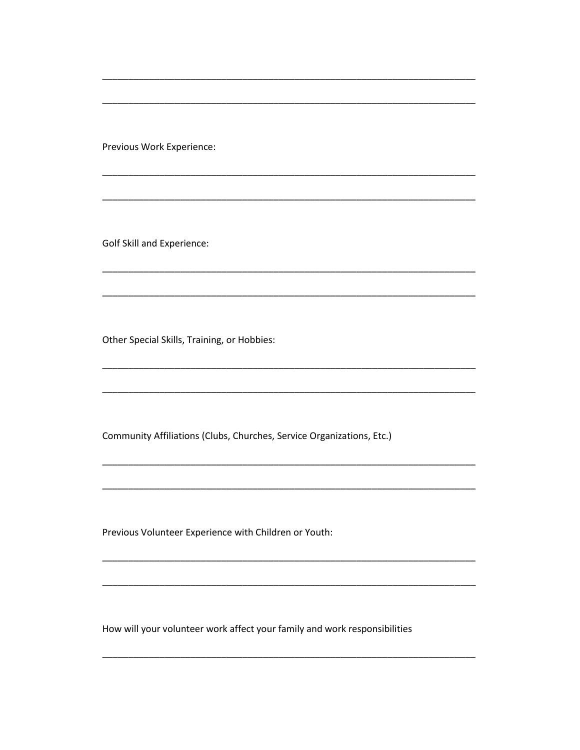Previous Work Experience:

**Golf Skill and Experience:** 

Other Special Skills, Training, or Hobbies:

Community Affiliations (Clubs, Churches, Service Organizations, Etc.)

Previous Volunteer Experience with Children or Youth:

How will your volunteer work affect your family and work responsibilities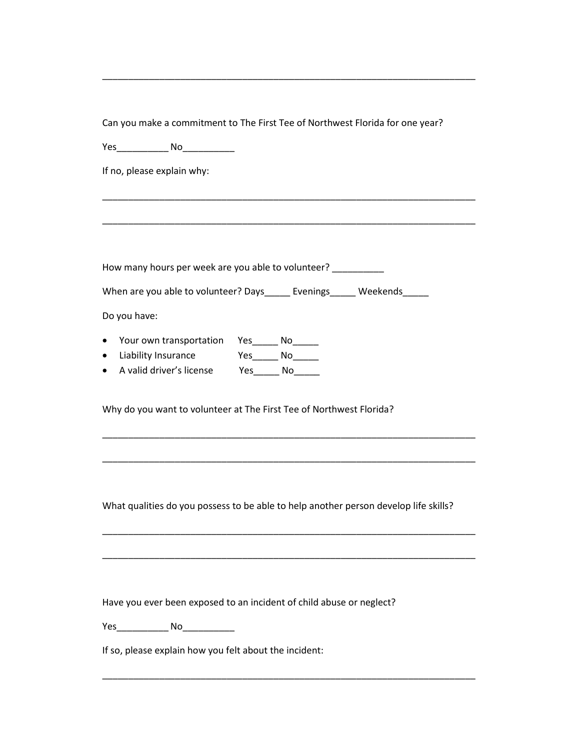Can you make a commitment to The First Tee of Northwest Florida for one year?

\_\_\_\_\_\_\_\_\_\_\_\_\_\_\_\_\_\_\_\_\_\_\_\_\_\_\_\_\_\_\_\_\_\_\_\_\_\_\_\_\_\_\_\_\_\_\_\_\_\_\_\_\_\_\_\_\_\_\_\_\_\_\_\_\_\_\_\_\_\_\_\_

\_\_\_\_\_\_\_\_\_\_\_\_\_\_\_\_\_\_\_\_\_\_\_\_\_\_\_\_\_\_\_\_\_\_\_\_\_\_\_\_\_\_\_\_\_\_\_\_\_\_\_\_\_\_\_\_\_\_\_\_\_\_\_\_\_\_\_\_\_\_\_\_

\_\_\_\_\_\_\_\_\_\_\_\_\_\_\_\_\_\_\_\_\_\_\_\_\_\_\_\_\_\_\_\_\_\_\_\_\_\_\_\_\_\_\_\_\_\_\_\_\_\_\_\_\_\_\_\_\_\_\_\_\_\_\_\_\_\_\_\_\_\_\_\_

Yes\_\_\_\_\_\_\_\_\_\_ No\_\_\_\_\_\_\_\_\_\_

If no, please explain why:

How many hours per week are you able to volunteer?

When are you able to volunteer? Days\_\_\_\_\_ Evenings\_\_\_\_\_ Weekends\_\_\_\_

Do you have:

- Your own transportation Yes\_\_\_\_\_ No\_\_\_\_\_
- Liability Insurance Yes\_\_\_\_\_ No\_\_\_\_\_
- A valid driver's license Yes\_\_\_\_\_ No\_\_\_\_\_

Why do you want to volunteer at The First Tee of Northwest Florida?

What qualities do you possess to be able to help another person develop life skills?

\_\_\_\_\_\_\_\_\_\_\_\_\_\_\_\_\_\_\_\_\_\_\_\_\_\_\_\_\_\_\_\_\_\_\_\_\_\_\_\_\_\_\_\_\_\_\_\_\_\_\_\_\_\_\_\_\_\_\_\_\_\_\_\_\_\_\_\_\_\_\_\_

\_\_\_\_\_\_\_\_\_\_\_\_\_\_\_\_\_\_\_\_\_\_\_\_\_\_\_\_\_\_\_\_\_\_\_\_\_\_\_\_\_\_\_\_\_\_\_\_\_\_\_\_\_\_\_\_\_\_\_\_\_\_\_\_\_\_\_\_\_\_\_\_

\_\_\_\_\_\_\_\_\_\_\_\_\_\_\_\_\_\_\_\_\_\_\_\_\_\_\_\_\_\_\_\_\_\_\_\_\_\_\_\_\_\_\_\_\_\_\_\_\_\_\_\_\_\_\_\_\_\_\_\_\_\_\_\_\_\_\_\_\_\_\_\_

\_\_\_\_\_\_\_\_\_\_\_\_\_\_\_\_\_\_\_\_\_\_\_\_\_\_\_\_\_\_\_\_\_\_\_\_\_\_\_\_\_\_\_\_\_\_\_\_\_\_\_\_\_\_\_\_\_\_\_\_\_\_\_\_\_\_\_\_\_\_\_\_

\_\_\_\_\_\_\_\_\_\_\_\_\_\_\_\_\_\_\_\_\_\_\_\_\_\_\_\_\_\_\_\_\_\_\_\_\_\_\_\_\_\_\_\_\_\_\_\_\_\_\_\_\_\_\_\_\_\_\_\_\_\_\_\_\_\_\_\_\_\_\_\_

Have you ever been exposed to an incident of child abuse or neglect?

Yes\_\_\_\_\_\_\_\_\_\_ No\_\_\_\_\_\_\_\_\_\_

If so, please explain how you felt about the incident: